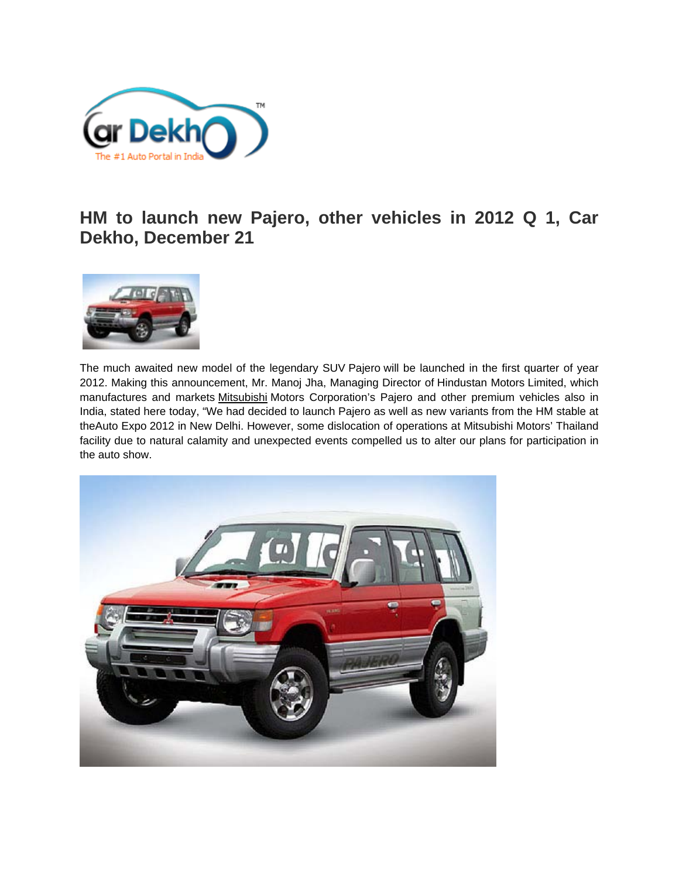

## **HM to launch new Pajero, other vehicles in 2012 Q 1, Car Dekho, December 21**



The much awaited new model of the legendary SUV [Pajero](http://www.cardekho.com/carmodels/Mitsubishi/Mitsubishi_Pajero) will be launched in the first quarter of year 2012. Making this announcement, Mr. Manoj Jha, Managing Director of [Hindustan Motors](http://www.cardekho.com/cars/Hindustan_Motors) Limited, which manufactures and markets [Mitsubishi](http://www.cardekho.com/cars/Mitsubishi) Motors Corporation's Pajero and other premium vehicles also in India, stated here today, "We had decided to launch Pajero as well as new variants from the HM stable at th[eAuto Expo](http://www.cardekho.com/india-car-news/Auto-Expo-news.htm) 2012 in New Delhi. However, some dislocation of operations at Mitsubishi Motors' Thailand facility due to natural calamity and unexpected events compelled us to alter our plans for participation in the auto show.